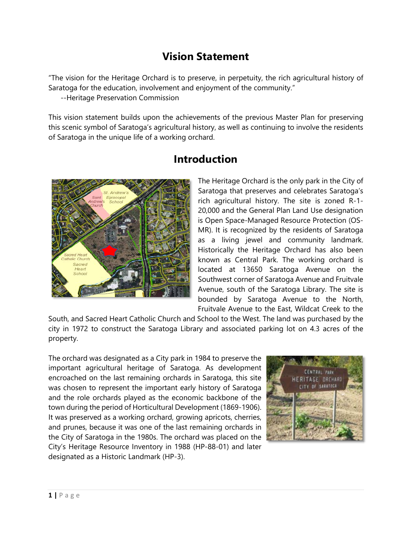# **Vision Statement**

"The vision for the Heritage Orchard is to preserve, in perpetuity, the rich agricultural history of Saratoga for the education, involvement and enjoyment of the community."

--Heritage Preservation Commission

This vision statement builds upon the achievements of the previous Master Plan for preserving this scenic symbol of Saratoga's agricultural history, as well as continuing to involve the residents of Saratoga in the unique life of a working orchard.



# **Introduction**

The Heritage Orchard is the only park in the City of Saratoga that preserves and celebrates Saratoga's rich agricultural history. The site is zoned R-1- 20,000 and the General Plan Land Use designation is Open Space-Managed Resource Protection (OS-MR). It is recognized by the residents of Saratoga as a living jewel and community landmark. Historically the Heritage Orchard has also been known as Central Park. The working orchard is located at 13650 Saratoga Avenue on the Southwest corner of Saratoga Avenue and Fruitvale Avenue, south of the Saratoga Library. The site is bounded by Saratoga Avenue to the North, Fruitvale Avenue to the East, Wildcat Creek to the

South, and Sacred Heart Catholic Church and School to the West. The land was purchased by the city in 1972 to construct the Saratoga Library and associated parking lot on 4.3 acres of the property.

The orchard was designated as a City park in 1984 to preserve the important agricultural heritage of Saratoga. As development encroached on the last remaining orchards in Saratoga, this site was chosen to represent the important early history of Saratoga and the role orchards played as the economic backbone of the town during the period of Horticultural Development (1869-1906). It was preserved as a working orchard, growing apricots, cherries, and prunes, because it was one of the last remaining orchards in the City of Saratoga in the 1980s. The orchard was placed on the City's Heritage Resource Inventory in 1988 (HP-88-01) and later designated as a Historic Landmark (HP-3).

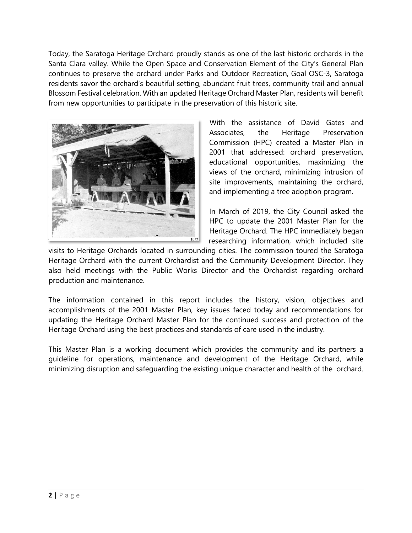Today, the Saratoga Heritage Orchard proudly stands as one of the last historic orchards in the Santa Clara valley. While the Open Space and Conservation Element of the City's General Plan continues to preserve the orchard under Parks and Outdoor Recreation, Goal OSC-3, Saratoga residents savor the orchard's beautiful setting, abundant fruit trees, community trail and annual Blossom Festival celebration. With an updated Heritage Orchard Master Plan, residents will benefit from new opportunities to participate in the preservation of this historic site.



With the assistance of David Gates and Associates, the Heritage Preservation Commission (HPC) created a Master Plan in 2001 that addressed: orchard preservation, educational opportunities, maximizing the views of the orchard, minimizing intrusion of site improvements, maintaining the orchard, and implementing a tree adoption program.

In March of 2019, the City Council asked the HPC to update the 2001 Master Plan for the Heritage Orchard. The HPC immediately began researching information, which included site

visits to Heritage Orchards located in surrounding cities. The commission toured the Saratoga Heritage Orchard with the current Orchardist and the Community Development Director. They also held meetings with the Public Works Director and the Orchardist regarding orchard production and maintenance.

The information contained in this report includes the history, vision, objectives and accomplishments of the 2001 Master Plan, key issues faced today and recommendations for updating the Heritage Orchard Master Plan for the continued success and protection of the Heritage Orchard using the best practices and standards of care used in the industry.

This Master Plan is a working document which provides the community and its partners a guideline for operations, maintenance and development of the Heritage Orchard, while minimizing disruption and safeguarding the existing unique character and health of the orchard.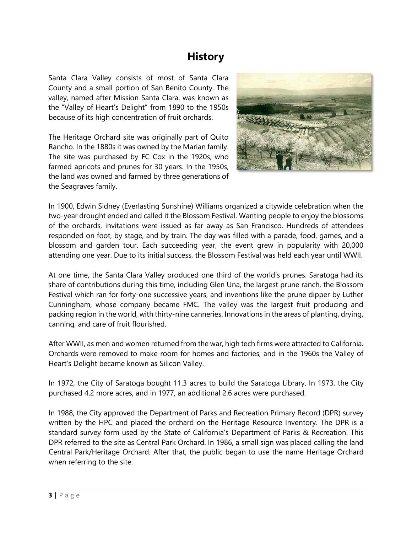## **History**

Santa Clara Valley consists of most of Santa Clara County and a small portion of San Benito County. The valley, named after Mission Santa Clara, was known as the "Valley of Heart's Delight" from 1890 to the 1950s because of its high concentration of fruit orchards.

The Heritage Orchard site was originally part of Quito Rancho. In the 1880s it was owned by the Marian family. The site was purchased by FC Cox in the 1920s, who farmed apricots and prunes for 30 years. In the 1950s, the land was owned and farmed by three generations of the Seagraves family.



In 1900, Edwin Sidney (Everlasting Sunshine) Williams organized a citywide celebration when the two-year drought ended and called it the Blossom Festival. Wanting people to enjoy the blossoms of the orchards, invitations were issued as far away as San Francisco. Hundreds of attendees responded on foot, by stage, and by train. The day was filled with a parade, food, games, and a blossom and garden tour. Each succeeding year, the event grew in popularity with 20,000 attending one year. Due to its initial success, the Blossom Festival was held each year until WWII.

At one time, the Santa Clara Valley produced one third of the world's prunes. Saratoga had its share of contributions during this time, including Glen Una, the largest prune ranch, the Blossom Festival which ran for forty-one successive years, and inventions like the prune dipper by Luther Cunningham, whose company became FMC. The valley was the largest fruit producing and packing region in the world, with thirty-nine canneries. Innovations in the areas of planting, drying, canning, and care of fruit flourished.

After WWII, as men and women returned from the war, high tech firms were attracted to California. Orchards were removed to make room for homes and factories, and in the 1960s the Valley of Heart's Delight became known as Silicon Valley.

In 1972, the City of Saratoga bought 11.3 acres to build the Saratoga Library. In 1973, the City purchased 4.2 more acres, and in 1977, an additional 2.6 acres were purchased.

In 1988, the City approved the Department of Parks and Recreation Primary Record (DPR) survey written by the HPC and placed the orchard on the Heritage Resource Inventory. The DPR is a standard survey form used by the State of California's Department of Parks & Recreation. This DPR referred to the site as Central Park Orchard. In 1986, a small sign was placed calling the land Central Park/Heritage Orchard. After that, the public began to use the name Heritage Orchard when referring to the site.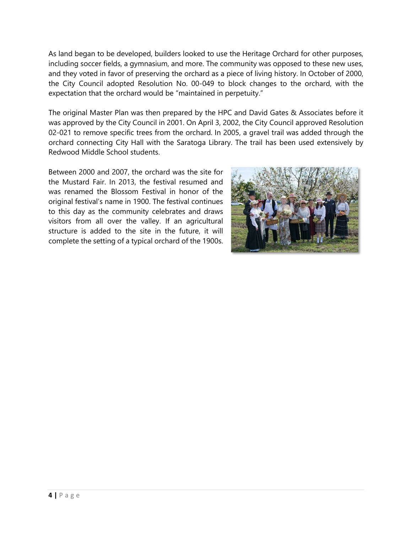As land began to be developed, builders looked to use the Heritage Orchard for other purposes, including soccer fields, a gymnasium, and more. The community was opposed to these new uses, and they voted in favor of preserving the orchard as a piece of living history. In October of 2000, the City Council adopted Resolution No. 00-049 to block changes to the orchard, with the expectation that the orchard would be "maintained in perpetuity."

The original Master Plan was then prepared by the HPC and David Gates & Associates before it was approved by the City Council in 2001. On April 3, 2002, the City Council approved Resolution 02-021 to remove specific trees from the orchard. In 2005, a gravel trail was added through the orchard connecting City Hall with the Saratoga Library. The trail has been used extensively by Redwood Middle School students.

Between 2000 and 2007, the orchard was the site for the Mustard Fair. In 2013, the festival resumed and was renamed the Blossom Festival in honor of the original festival's name in 1900. The festival continues to this day as the community celebrates and draws visitors from all over the valley. If an agricultural structure is added to the site in the future, it will complete the setting of a typical orchard of the 1900s.

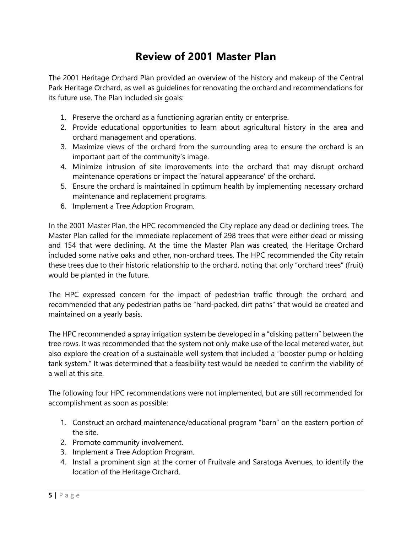# **Review of 2001 Master Plan**

The 2001 Heritage Orchard Plan provided an overview of the history and makeup of the Central Park Heritage Orchard, as well as guidelines for renovating the orchard and recommendations for its future use. The Plan included six goals:

- 1. Preserve the orchard as a functioning agrarian entity or enterprise.
- 2. Provide educational opportunities to learn about agricultural history in the area and orchard management and operations.
- 3. Maximize views of the orchard from the surrounding area to ensure the orchard is an important part of the community's image.
- 4. Minimize intrusion of site improvements into the orchard that may disrupt orchard maintenance operations or impact the 'natural appearance' of the orchard.
- 5. Ensure the orchard is maintained in optimum health by implementing necessary orchard maintenance and replacement programs.
- 6. Implement a Tree Adoption Program.

In the 2001 Master Plan, the HPC recommended the City replace any dead or declining trees. The Master Plan called for the immediate replacement of 298 trees that were either dead or missing and 154 that were declining. At the time the Master Plan was created, the Heritage Orchard included some native oaks and other, non-orchard trees. The HPC recommended the City retain these trees due to their historic relationship to the orchard, noting that only "orchard trees" (fruit) would be planted in the future.

The HPC expressed concern for the impact of pedestrian traffic through the orchard and recommended that any pedestrian paths be "hard-packed, dirt paths" that would be created and maintained on a yearly basis.

The HPC recommended a spray irrigation system be developed in a "disking pattern" between the tree rows. It was recommended that the system not only make use of the local metered water, but also explore the creation of a sustainable well system that included a "booster pump or holding tank system." It was determined that a feasibility test would be needed to confirm the viability of a well at this site.

The following four HPC recommendations were not implemented, but are still recommended for accomplishment as soon as possible:

- 1. Construct an orchard maintenance/educational program "barn" on the eastern portion of the site.
- 2. Promote community involvement.
- 3. Implement a Tree Adoption Program.
- 4. Install a prominent sign at the corner of Fruitvale and Saratoga Avenues, to identify the location of the Heritage Orchard.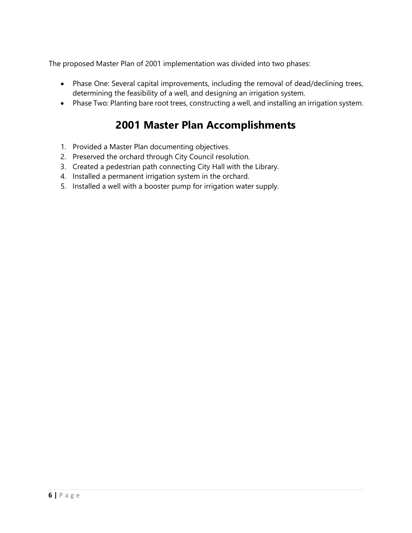The proposed Master Plan of 2001 implementation was divided into two phases:

- Phase One: Several capital improvements, including the removal of dead/declining trees, determining the feasibility of a well, and designing an irrigation system.
- Phase Two: Planting bare root trees, constructing a well, and installing an irrigation system.

# **2001 Master Plan Accomplishments**

- 1. Provided a Master Plan documenting objectives.
- 2. Preserved the orchard through City Council resolution.
- 3. Created a pedestrian path connecting City Hall with the Library.
- 4. Installed a permanent irrigation system in the orchard.
- 5. Installed a well with a booster pump for irrigation water supply.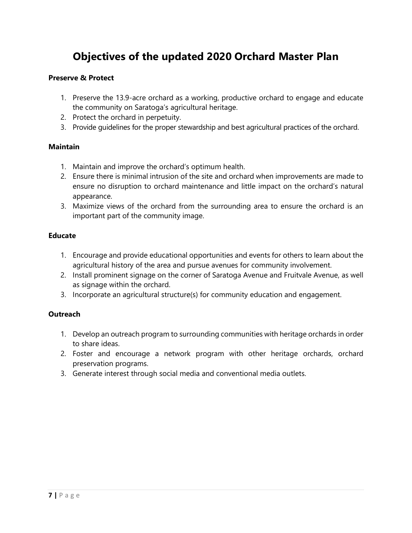# **Objectives of the updated 2020 Orchard Master Plan**

#### **Preserve & Protect**

- 1. Preserve the 13.9-acre orchard as a working, productive orchard to engage and educate the community on Saratoga's agricultural heritage.
- 2. Protect the orchard in perpetuity.
- 3. Provide guidelines for the proper stewardship and best agricultural practices of the orchard.

#### **Maintain**

- 1. Maintain and improve the orchard's optimum health.
- 2. Ensure there is minimal intrusion of the site and orchard when improvements are made to ensure no disruption to orchard maintenance and little impact on the orchard's natural appearance.
- 3. Maximize views of the orchard from the surrounding area to ensure the orchard is an important part of the community image.

#### **Educate**

- 1. Encourage and provide educational opportunities and events for others to learn about the agricultural history of the area and pursue avenues for community involvement.
- 2. Install prominent signage on the corner of Saratoga Avenue and Fruitvale Avenue, as well as signage within the orchard.
- 3. Incorporate an agricultural structure(s) for community education and engagement.

#### **Outreach**

- 1. Develop an outreach program to surrounding communities with heritage orchards in order to share ideas.
- 2. Foster and encourage a network program with other heritage orchards, orchard preservation programs.
- 3. Generate interest through social media and conventional media outlets.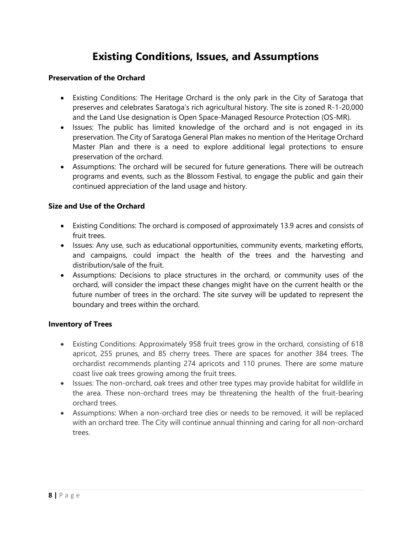# **Existing Conditions, Issues, and Assumptions**

#### **Preservation of the Orchard**

- Existing Conditions: The Heritage Orchard is the only park in the City of Saratoga that preserves and celebrates Saratoga's rich agricultural history. The site is zoned R-1-20,000 and the Land Use designation is Open Space-Managed Resource Protection (OS-MR).
- Issues: The public has limited knowledge of the orchard and is not engaged in its preservation. The City of Saratoga General Plan makes no mention of the Heritage Orchard Master Plan and there is a need to explore additional legal protections to ensure preservation of the orchard.
- Assumptions: The orchard will be secured for future generations. There will be outreach programs and events, such as the Blossom Festival, to engage the public and gain their continued appreciation of the land usage and history.

#### **Size and Use of the Orchard**

- Existing Conditions: The orchard is composed of approximately 13.9 acres and consists of fruit trees.
- Issues: Any use, such as educational opportunities, community events, marketing efforts, and campaigns, could impact the health of the trees and the harvesting and distribution/sale of the fruit.
- Assumptions: Decisions to place structures in the orchard, or community uses of the orchard, will consider the impact these changes might have on the current health or the future number of trees in the orchard. The site survey will be updated to represent the boundary and trees within the orchard.

#### **Inventory of Trees**

- Existing Conditions: Approximately 958 fruit trees grow in the orchard, consisting of 618 apricot, 255 prunes, and 85 cherry trees. There are spaces for another 384 trees. The orchardist recommends planting 274 apricots and 110 prunes. There are some mature coast live oak trees growing among the fruit trees.
- Issues: The non-orchard, oak trees and other tree types may provide habitat for wildlife in the area. These non-orchard trees may be threatening the health of the fruit-bearing orchard trees.
- Assumptions: When a non-orchard tree dies or needs to be removed, it will be replaced with an orchard tree. The City will continue annual thinning and caring for all non-orchard trees.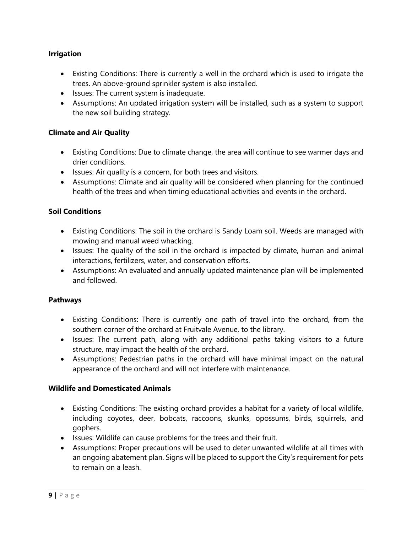#### **Irrigation**

- Existing Conditions: There is currently a well in the orchard which is used to irrigate the trees. An above-ground sprinkler system is also installed.
- Issues: The current system is inadequate.
- Assumptions: An updated irrigation system will be installed, such as a system to support the new soil building strategy.

#### **Climate and Air Quality**

- Existing Conditions: Due to climate change, the area will continue to see warmer days and drier conditions.
- Issues: Air quality is a concern, for both trees and visitors.
- Assumptions: Climate and air quality will be considered when planning for the continued health of the trees and when timing educational activities and events in the orchard.

#### **Soil Conditions**

- Existing Conditions: The soil in the orchard is Sandy Loam soil. Weeds are managed with mowing and manual weed whacking.
- Issues: The quality of the soil in the orchard is impacted by climate, human and animal interactions, fertilizers, water, and conservation efforts.
- Assumptions: An evaluated and annually updated maintenance plan will be implemented and followed.

#### **Pathways**

- Existing Conditions: There is currently one path of travel into the orchard, from the southern corner of the orchard at Fruitvale Avenue, to the library.
- Issues: The current path, along with any additional paths taking visitors to a future structure, may impact the health of the orchard.
- Assumptions: Pedestrian paths in the orchard will have minimal impact on the natural appearance of the orchard and will not interfere with maintenance.

#### **Wildlife and Domesticated Animals**

- Existing Conditions: The existing orchard provides a habitat for a variety of local wildlife, including coyotes, deer, bobcats, raccoons, skunks, opossums, birds, squirrels, and gophers.
- Issues: Wildlife can cause problems for the trees and their fruit.
- Assumptions: Proper precautions will be used to deter unwanted wildlife at all times with an ongoing abatement plan. Signs will be placed to support the City's requirement for pets to remain on a leash.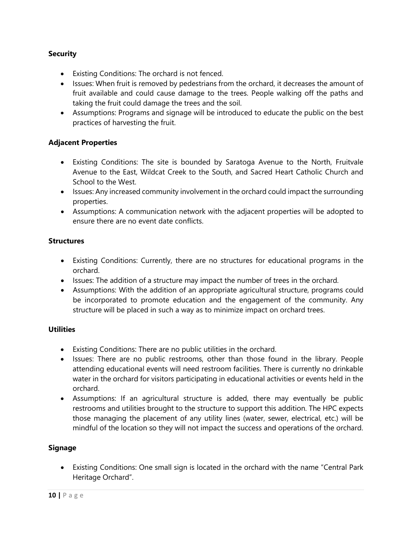#### **Security**

- Existing Conditions: The orchard is not fenced.
- Issues: When fruit is removed by pedestrians from the orchard, it decreases the amount of fruit available and could cause damage to the trees. People walking off the paths and taking the fruit could damage the trees and the soil.
- Assumptions: Programs and signage will be introduced to educate the public on the best practices of harvesting the fruit.

#### **Adjacent Properties**

- Existing Conditions: The site is bounded by Saratoga Avenue to the North, Fruitvale Avenue to the East, Wildcat Creek to the South, and Sacred Heart Catholic Church and School to the West.
- Issues: Any increased community involvement in the orchard could impact the surrounding properties.
- Assumptions: A communication network with the adjacent properties will be adopted to ensure there are no event date conflicts.

#### **Structures**

- Existing Conditions: Currently, there are no structures for educational programs in the orchard.
- Issues: The addition of a structure may impact the number of trees in the orchard.
- Assumptions: With the addition of an appropriate agricultural structure, programs could be incorporated to promote education and the engagement of the community. Any structure will be placed in such a way as to minimize impact on orchard trees.

#### **Utilities**

- Existing Conditions: There are no public utilities in the orchard.
- Issues: There are no public restrooms, other than those found in the library. People attending educational events will need restroom facilities. There is currently no drinkable water in the orchard for visitors participating in educational activities or events held in the orchard.
- Assumptions: If an agricultural structure is added, there may eventually be public restrooms and utilities brought to the structure to support this addition. The HPC expects those managing the placement of any utility lines (water, sewer, electrical, etc.) will be mindful of the location so they will not impact the success and operations of the orchard.

#### **Signage**

• Existing Conditions: One small sign is located in the orchard with the name "Central Park Heritage Orchard".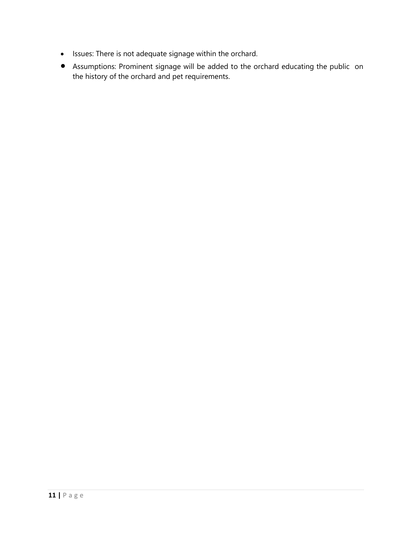- Issues: There is not adequate signage within the orchard.
- Assumptions: Prominent signage will be added to the orchard educating the public on the history of the orchard and pet requirements.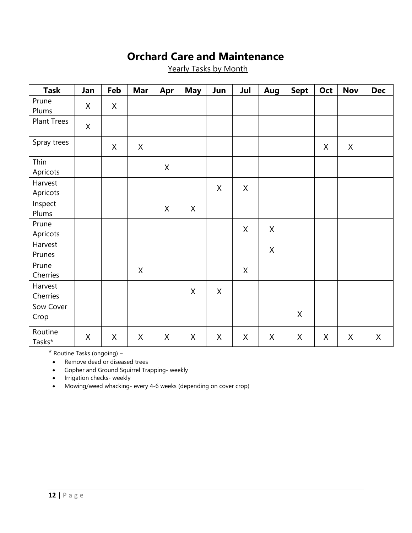# **Orchard Care and Maintenance**

Yearly Tasks by Month

| <b>Task</b>        | Jan | Feb         | <b>Mar</b> | Apr | <b>May</b>  | Jun | Jul | Aug          | <b>Sept</b> | Oct | <b>Nov</b> | <b>Dec</b>  |
|--------------------|-----|-------------|------------|-----|-------------|-----|-----|--------------|-------------|-----|------------|-------------|
| Prune<br>Plums     | X   | $\mathsf X$ |            |     |             |     |     |              |             |     |            |             |
| <b>Plant Trees</b> | X   |             |            |     |             |     |     |              |             |     |            |             |
| Spray trees        |     | X           | X          |     |             |     |     |              |             | X   | X          |             |
| Thin               |     |             |            | X   |             |     |     |              |             |     |            |             |
| Apricots           |     |             |            |     |             |     |     |              |             |     |            |             |
| Harvest            |     |             |            |     |             | X   | X   |              |             |     |            |             |
| Apricots           |     |             |            |     |             |     |     |              |             |     |            |             |
| Inspect            |     |             |            | X   | X           |     |     |              |             |     |            |             |
| Plums              |     |             |            |     |             |     |     |              |             |     |            |             |
| Prune              |     |             |            |     |             |     | X   | $\mathsf{X}$ |             |     |            |             |
| Apricots           |     |             |            |     |             |     |     |              |             |     |            |             |
| Harvest            |     |             |            |     |             |     |     | X            |             |     |            |             |
| Prunes             |     |             |            |     |             |     |     |              |             |     |            |             |
| Prune              |     |             | X          |     |             |     | X   |              |             |     |            |             |
| Cherries           |     |             |            |     |             |     |     |              |             |     |            |             |
| Harvest            |     |             |            |     | $\sf X$     | X   |     |              |             |     |            |             |
| Cherries           |     |             |            |     |             |     |     |              |             |     |            |             |
| Sow Cover          |     |             |            |     |             |     |     |              |             |     |            |             |
| Crop               |     |             |            |     |             |     |     |              | $\mathsf X$ |     |            |             |
| Routine<br>Tasks*  | Χ   | $\sf X$     | X          | X   | $\mathsf X$ | X   | X   | X            | $\sf X$     | X   | X          | $\mathsf X$ |

\* Routine Tasks (ongoing) –

• Remove dead or diseased trees

• Gopher and Ground Squirrel Trapping- weekly

• Irrigation checks- weekly

• Mowing/weed whacking- every 4-6 weeks (depending on cover crop)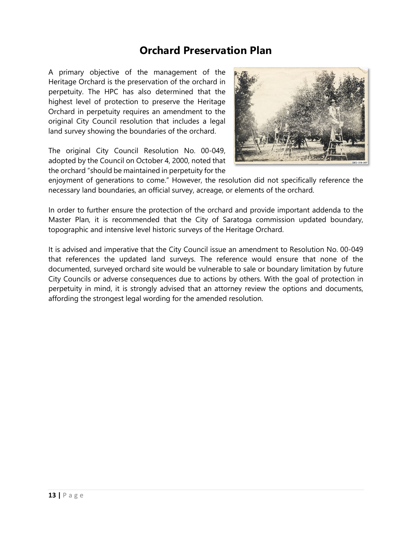### **Orchard Preservation Plan**

A primary objective of the management of the Heritage Orchard is the preservation of the orchard in perpetuity. The HPC has also determined that the highest level of protection to preserve the Heritage Orchard in perpetuity requires an amendment to the original City Council resolution that includes a legal land survey showing the boundaries of the orchard.

The original City Council Resolution No. 00-049, adopted by the Council on October 4, 2000, noted that the orchard "should be maintained in perpetuity for the



enjoyment of generations to come." However, the resolution did not specifically reference the necessary land boundaries, an official survey, acreage, or elements of the orchard.

In order to further ensure the protection of the orchard and provide important addenda to the Master Plan, it is recommended that the City of Saratoga commission updated boundary, topographic and intensive level historic surveys of the Heritage Orchard.

It is advised and imperative that the City Council issue an amendment to Resolution No. 00-049 that references the updated land surveys. The reference would ensure that none of the documented, surveyed orchard site would be vulnerable to sale or boundary limitation by future City Councils or adverse consequences due to actions by others. With the goal of protection in perpetuity in mind, it is strongly advised that an attorney review the options and documents, affording the strongest legal wording for the amended resolution.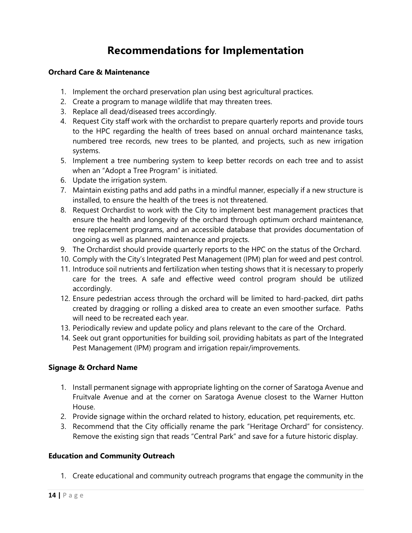## **Recommendations for Implementation**

#### **Orchard Care & Maintenance**

- 1. Implement the orchard preservation plan using best agricultural practices.
- 2. Create a program to manage wildlife that may threaten trees.
- 3. Replace all dead/diseased trees accordingly.
- 4. Request City staff work with the orchardist to prepare quarterly reports and provide tours to the HPC regarding the health of trees based on annual orchard maintenance tasks, numbered tree records, new trees to be planted, and projects, such as new irrigation systems.
- 5. Implement a tree numbering system to keep better records on each tree and to assist when an "Adopt a Tree Program" is initiated.
- 6. Update the irrigation system.
- 7. Maintain existing paths and add paths in a mindful manner, especially if a new structure is installed, to ensure the health of the trees is not threatened.
- 8. Request Orchardist to work with the City to implement best management practices that ensure the health and longevity of the orchard through optimum orchard maintenance, tree replacement programs, and an accessible database that provides documentation of ongoing as well as planned maintenance and projects.
- 9. The Orchardist should provide quarterly reports to the HPC on the status of the Orchard.
- 10. Comply with the City's Integrated Pest Management (IPM) plan for weed and pest control.
- 11. Introduce soil nutrients and fertilization when testing shows that it is necessary to properly care for the trees. A safe and effective weed control program should be utilized accordingly.
- 12. Ensure pedestrian access through the orchard will be limited to hard-packed, dirt paths created by dragging or rolling a disked area to create an even smoother surface. Paths will need to be recreated each year.
- 13. Periodically review and update policy and plans relevant to the care of the Orchard.
- 14. Seek out grant opportunities for building soil, providing habitats as part of the Integrated Pest Management (IPM) program and irrigation repair/improvements.

#### **Signage & Orchard Name**

- 1. Install permanent signage with appropriate lighting on the corner of Saratoga Avenue and Fruitvale Avenue and at the corner on Saratoga Avenue closest to the Warner Hutton House.
- 2. Provide signage within the orchard related to history, education, pet requirements, etc.
- 3. Recommend that the City officially rename the park "Heritage Orchard" for consistency. Remove the existing sign that reads "Central Park" and save for a future historic display.

#### **Education and Community Outreach**

1. Create educational and community outreach programs that engage the community in the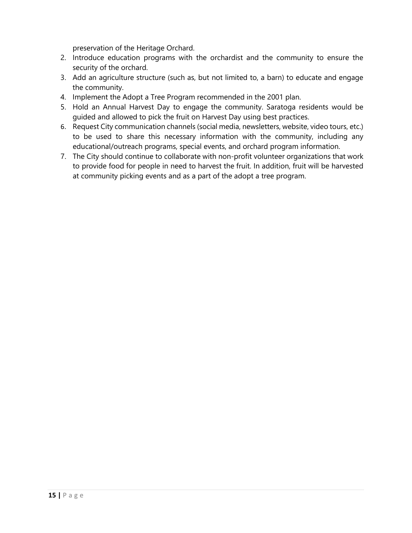preservation of the Heritage Orchard.

- 2. Introduce education programs with the orchardist and the community to ensure the security of the orchard.
- 3. Add an agriculture structure (such as, but not limited to, a barn) to educate and engage the community.
- 4. Implement the Adopt a Tree Program recommended in the 2001 plan.
- 5. Hold an Annual Harvest Day to engage the community. Saratoga residents would be guided and allowed to pick the fruit on Harvest Day using best practices.
- 6. Request City communication channels (social media, newsletters, website, video tours, etc.) to be used to share this necessary information with the community, including any educational/outreach programs, special events, and orchard program information.
- 7. The City should continue to collaborate with non-profit volunteer organizations that work to provide food for people in need to harvest the fruit. In addition, fruit will be harvested at community picking events and as a part of the adopt a tree program.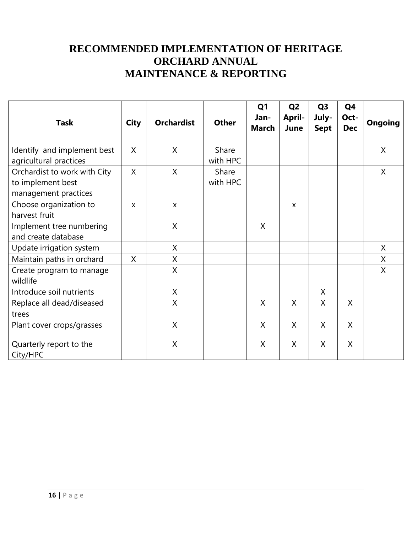### **RECOMMENDED IMPLEMENTATION OF HERITAGE ORCHARD ANNUAL MAINTENANCE & REPORTING**

| <b>Task</b>                         | <b>City</b>               | <b>Orchardist</b> | <b>Other</b> | Q <sub>1</sub><br>Jan-<br><b>March</b> | Q <sub>2</sub><br><b>April-</b><br>June | Q <sub>3</sub><br>July-<br><b>Sept</b> | Q4<br>Oct-<br><b>Dec</b> | Ongoing      |
|-------------------------------------|---------------------------|-------------------|--------------|----------------------------------------|-----------------------------------------|----------------------------------------|--------------------------|--------------|
| Identify and implement best         | $\mathsf{X}$              | $\sf X$           | Share        |                                        |                                         |                                        |                          | $\mathsf{X}$ |
| agricultural practices              |                           |                   | with HPC     |                                        |                                         |                                        |                          |              |
| Orchardist to work with City        | X                         | $\mathsf{X}$      | Share        |                                        |                                         |                                        |                          | $\mathsf{X}$ |
| to implement best                   |                           |                   | with HPC     |                                        |                                         |                                        |                          |              |
| management practices                |                           |                   |              |                                        |                                         |                                        |                          |              |
| Choose organization to              | $\boldsymbol{\mathsf{X}}$ | $\mathsf{x}$      |              |                                        | X                                       |                                        |                          |              |
| harvest fruit                       |                           |                   |              |                                        |                                         |                                        |                          |              |
| Implement tree numbering            |                           | X                 |              | X                                      |                                         |                                        |                          |              |
| and create database                 |                           |                   |              |                                        |                                         |                                        |                          |              |
| Update irrigation system            |                           | X                 |              |                                        |                                         |                                        |                          | $\mathsf{X}$ |
| Maintain paths in orchard           | $\mathsf{X}$              | X                 |              |                                        |                                         |                                        |                          | X            |
| Create program to manage            |                           | X                 |              |                                        |                                         |                                        |                          | X            |
| wildlife                            |                           |                   |              |                                        |                                         |                                        |                          |              |
| Introduce soil nutrients            |                           | X                 |              |                                        |                                         | X                                      |                          |              |
| Replace all dead/diseased           |                           | X                 |              | X                                      | X                                       | X                                      | X                        |              |
| trees                               |                           |                   |              |                                        |                                         |                                        |                          |              |
| Plant cover crops/grasses           |                           | $\mathsf{X}$      |              | X                                      | $\mathsf{X}$                            | X                                      | X                        |              |
| Quarterly report to the<br>City/HPC |                           | $\sf X$           |              | X                                      | $\mathsf{X}$                            | $\times$                               | X                        |              |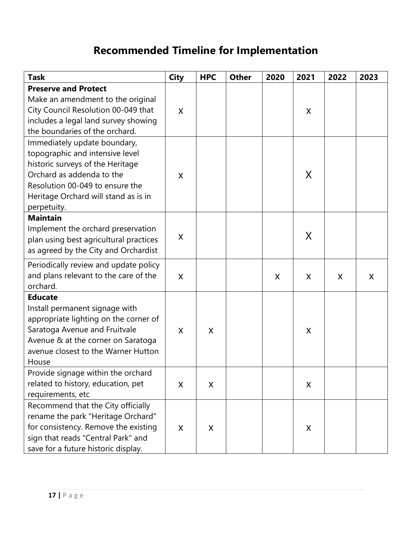# **Recommended Timeline for Implementation**

| <b>Task</b>                            | <b>City</b> | <b>HPC</b> | <b>Other</b> | 2020 | 2021 | 2022 | 2023 |
|----------------------------------------|-------------|------------|--------------|------|------|------|------|
| <b>Preserve and Protect</b>            |             |            |              |      |      |      |      |
| Make an amendment to the original      |             |            |              |      |      |      |      |
| City Council Resolution 00-049 that    | X           |            |              |      | X    |      |      |
| includes a legal land survey showing   |             |            |              |      |      |      |      |
| the boundaries of the orchard.         |             |            |              |      |      |      |      |
| Immediately update boundary,           |             |            |              |      |      |      |      |
| topographic and intensive level        |             |            |              |      |      |      |      |
| historic surveys of the Heritage       |             |            |              |      |      |      |      |
| Orchard as addenda to the              | X           |            |              |      | X    |      |      |
| Resolution 00-049 to ensure the        |             |            |              |      |      |      |      |
| Heritage Orchard will stand as is in   |             |            |              |      |      |      |      |
| perpetuity.                            |             |            |              |      |      |      |      |
| <b>Maintain</b>                        |             |            |              |      |      |      |      |
| Implement the orchard preservation     |             |            |              |      | X    |      |      |
| plan using best agricultural practices | X           |            |              |      |      |      |      |
| as agreed by the City and Orchardist   |             |            |              |      |      |      |      |
| Periodically review and update policy  |             |            |              |      |      |      |      |
| and plans relevant to the care of the  | X           |            |              | X    | X    | X    | X    |
| orchard.                               |             |            |              |      |      |      |      |
| <b>Educate</b>                         |             |            |              |      |      |      |      |
| Install permanent signage with         |             |            |              |      |      |      |      |
| appropriate lighting on the corner of  |             |            |              |      |      |      |      |
| Saratoga Avenue and Fruitvale          | X           | X          |              |      | X    |      |      |
| Avenue & at the corner on Saratoga     |             |            |              |      |      |      |      |
| avenue closest to the Warner Hutton    |             |            |              |      |      |      |      |
| House                                  |             |            |              |      |      |      |      |
| Provide signage within the orchard     |             |            |              |      |      |      |      |
| related to history, education, pet     | X           | X          |              |      | X    |      |      |
| requirements, etc                      |             |            |              |      |      |      |      |
| Recommend that the City officially     |             |            |              |      |      |      |      |
| rename the park "Heritage Orchard"     |             |            |              |      |      |      |      |
| for consistency. Remove the existing   | X           | X          |              |      | X    |      |      |
| sign that reads "Central Park" and     |             |            |              |      |      |      |      |
| save for a future historic display.    |             |            |              |      |      |      |      |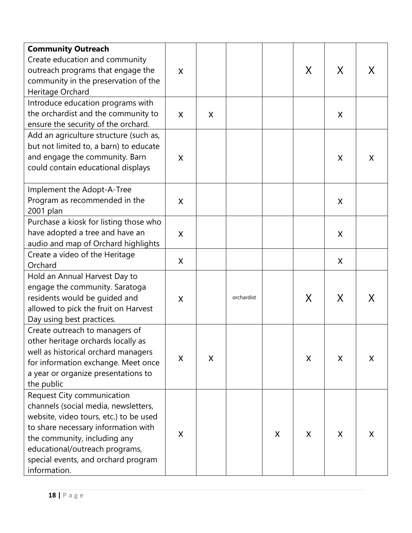| <b>Community Outreach</b>              |   |   |            |   |   |   |   |
|----------------------------------------|---|---|------------|---|---|---|---|
| Create education and community         |   |   |            |   |   |   |   |
| outreach programs that engage the      | X |   |            |   | X | X | X |
| community in the preservation of the   |   |   |            |   |   |   |   |
| Heritage Orchard                       |   |   |            |   |   |   |   |
| Introduce education programs with      |   |   |            |   |   |   |   |
| the orchardist and the community to    | X | X |            |   |   | X |   |
| ensure the security of the orchard.    |   |   |            |   |   |   |   |
| Add an agriculture structure (such as, |   |   |            |   |   |   |   |
| but not limited to, a barn) to educate |   |   |            |   |   |   |   |
| and engage the community. Barn         | X |   |            |   |   | X | X |
| could contain educational displays     |   |   |            |   |   |   |   |
|                                        |   |   |            |   |   |   |   |
| Implement the Adopt-A-Tree             |   |   |            |   |   |   |   |
| Program as recommended in the          | X |   |            |   |   | X |   |
| 2001 plan                              |   |   |            |   |   |   |   |
| Purchase a kiosk for listing those who |   |   |            |   |   |   |   |
| have adopted a tree and have an        | X |   |            |   |   | X |   |
| audio and map of Orchard highlights    |   |   |            |   |   |   |   |
| Create a video of the Heritage         |   |   |            |   |   |   |   |
| Orchard                                | X |   |            |   |   | X |   |
| Hold an Annual Harvest Day to          |   |   |            |   |   |   |   |
| engage the community. Saratoga         |   |   |            |   |   |   |   |
| residents would be guided and          | X |   | orchardist |   | X | X | X |
| allowed to pick the fruit on Harvest   |   |   |            |   |   |   |   |
| Day using best practices.              |   |   |            |   |   |   |   |
| Create outreach to managers of         |   |   |            |   |   |   |   |
| other heritage orchards locally as     |   |   |            |   |   |   |   |
| well as historical orchard managers    | X | X |            |   | X | X | X |
| for information exchange. Meet once    |   |   |            |   |   |   |   |
| a year or organize presentations to    |   |   |            |   |   |   |   |
| the public                             |   |   |            |   |   |   |   |
| Request City communication             |   |   |            |   |   |   |   |
| channels (social media, newsletters,   |   |   |            |   |   |   |   |
| website, video tours, etc.) to be used |   |   |            |   |   |   |   |
| to share necessary information with    | X |   |            | X | X | X | X |
| the community, including any           |   |   |            |   |   |   |   |
| educational/outreach programs,         |   |   |            |   |   |   |   |
| special events, and orchard program    |   |   |            |   |   |   |   |
| information.                           |   |   |            |   |   |   |   |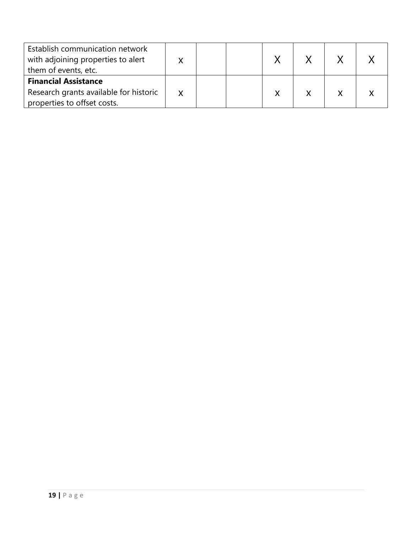| Establish communication network<br>with adjoining properties to alert<br>them of events, etc. |              |  |  |  |
|-----------------------------------------------------------------------------------------------|--------------|--|--|--|
| <b>Financial Assistance</b>                                                                   |              |  |  |  |
| Research grants available for historic                                                        | $\mathsf{X}$ |  |  |  |
| properties to offset costs.                                                                   |              |  |  |  |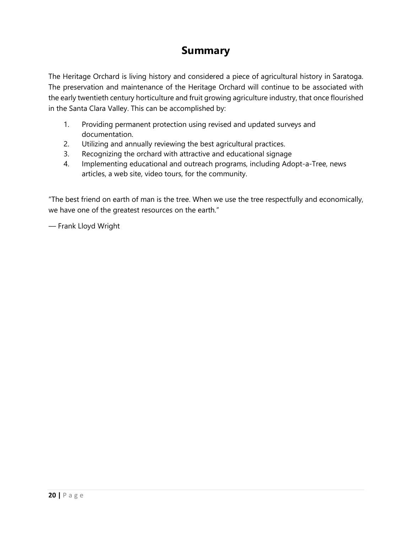### **Summary**

The Heritage Orchard is living history and considered a piece of agricultural history in Saratoga. The preservation and maintenance of the Heritage Orchard will continue to be associated with the early twentieth century horticulture and fruit growing agriculture industry, that once flourished in the Santa Clara Valley. This can be accomplished by:

- 1. Providing permanent protection using revised and updated surveys and documentation.
- 2. Utilizing and annually reviewing the best agricultural practices.
- 3. Recognizing the orchard with attractive and educational signage
- 4. Implementing educational and outreach programs, including Adopt-a-Tree, news articles, a web site, video tours, for the community.

"The best friend on earth of man is the tree. When we use the tree respectfully and economically, we have one of the greatest resources on the earth."

― Frank Lloyd Wright